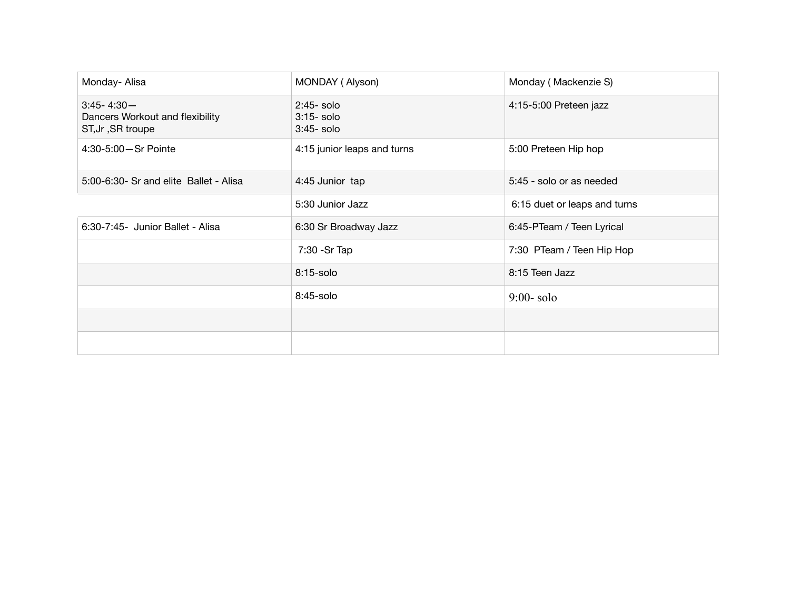| Monday- Alisa                                                           | MONDAY (Alyson)                              | Monday (Mackenzie S)         |
|-------------------------------------------------------------------------|----------------------------------------------|------------------------------|
| $3:45 - 4:30 -$<br>Dancers Workout and flexibility<br>ST, Jr, SR troupe | $2:45-$ solo<br>$3:15-$ solo<br>$3:45-$ solo | 4:15-5:00 Preteen jazz       |
| 4:30-5:00-Sr Pointe                                                     | 4:15 junior leaps and turns                  | 5:00 Preteen Hip hop         |
| 5:00-6:30- Sr and elite Ballet - Alisa                                  | 4:45 Junior tap                              | 5:45 - solo or as needed     |
|                                                                         | 5:30 Junior Jazz                             | 6:15 duet or leaps and turns |
| 6:30-7:45- Junior Ballet - Alisa                                        | 6:30 Sr Broadway Jazz                        | 6:45-PTeam / Teen Lyrical    |
|                                                                         | 7:30 - Sr Tap                                | 7:30 PTeam / Teen Hip Hop    |
|                                                                         | 8:15-solo                                    | 8:15 Teen Jazz               |
|                                                                         | 8:45-solo                                    | $9:00$ -solo                 |
|                                                                         |                                              |                              |
|                                                                         |                                              |                              |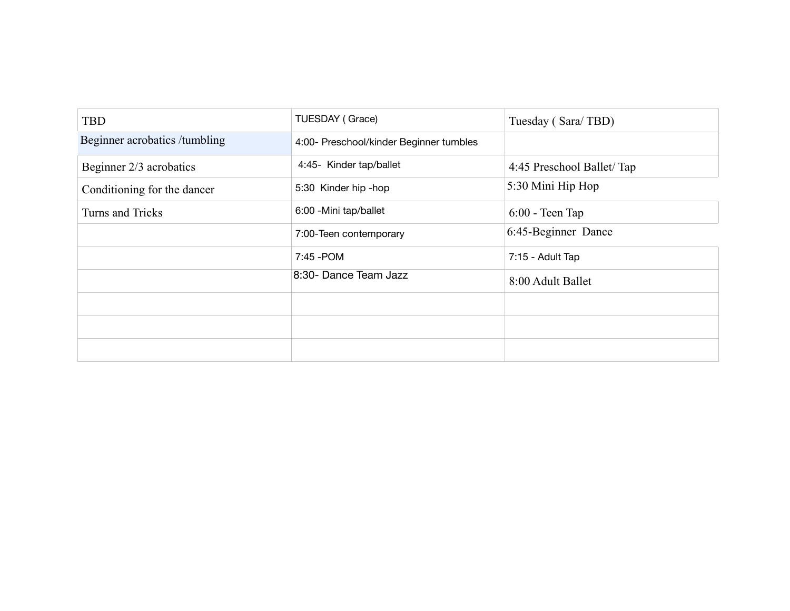| <b>TBD</b>                    | TUESDAY (Grace)                         | Tuesday (Sara/TBD)        |
|-------------------------------|-----------------------------------------|---------------------------|
| Beginner acrobatics /tumbling | 4:00- Preschool/kinder Beginner tumbles |                           |
| Beginner 2/3 acrobatics       | 4:45- Kinder tap/ballet                 | 4:45 Preschool Ballet/Tap |
| Conditioning for the dancer   | 5:30 Kinder hip -hop                    | 5:30 Mini Hip Hop         |
| Turns and Tricks              | 6:00 - Mini tap/ballet                  | $6:00$ - Teen Tap         |
|                               | 7:00-Teen contemporary                  | 6:45-Beginner Dance       |
|                               | 7:45 - POM                              | 7:15 - Adult Tap          |
|                               | 8:30- Dance Team Jazz                   | 8:00 Adult Ballet         |
|                               |                                         |                           |
|                               |                                         |                           |
|                               |                                         |                           |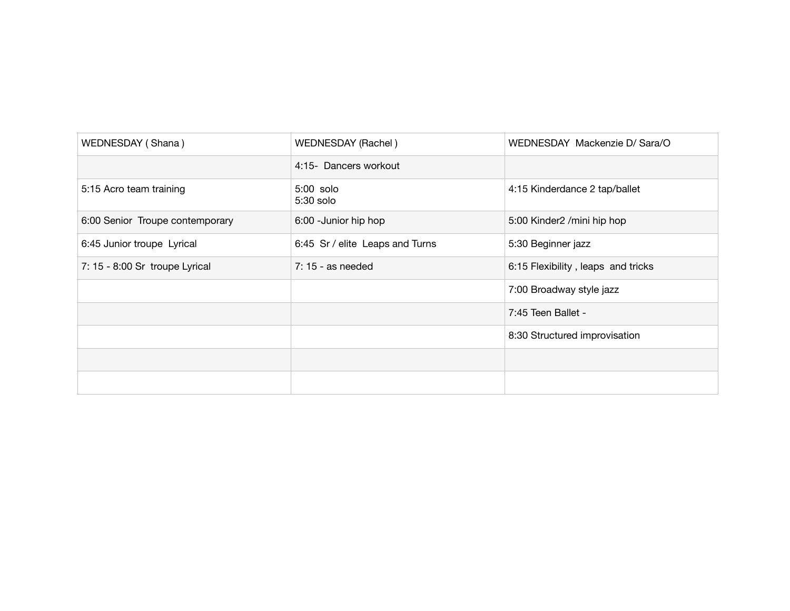| WEDNESDAY (Shana)               | WEDNESDAY (Rachel)              | WEDNESDAY Mackenzie D/ Sara/O      |
|---------------------------------|---------------------------------|------------------------------------|
|                                 | 4:15- Dancers workout           |                                    |
| 5:15 Acro team training         | 5:00 solo<br>5:30 solo          | 4:15 Kinderdance 2 tap/ballet      |
| 6:00 Senior Troupe contemporary | 6:00 - Junior hip hop           | 5:00 Kinder2 /mini hip hop         |
| 6:45 Junior troupe Lyrical      | 6:45 Sr / elite Leaps and Turns | 5:30 Beginner jazz                 |
| 7: 15 - 8:00 Sr troupe Lyrical  | $7:15$ - as needed              | 6:15 Flexibility, leaps and tricks |
|                                 |                                 | 7:00 Broadway style jazz           |
|                                 |                                 | 7:45 Teen Ballet -                 |
|                                 |                                 | 8:30 Structured improvisation      |
|                                 |                                 |                                    |
|                                 |                                 |                                    |